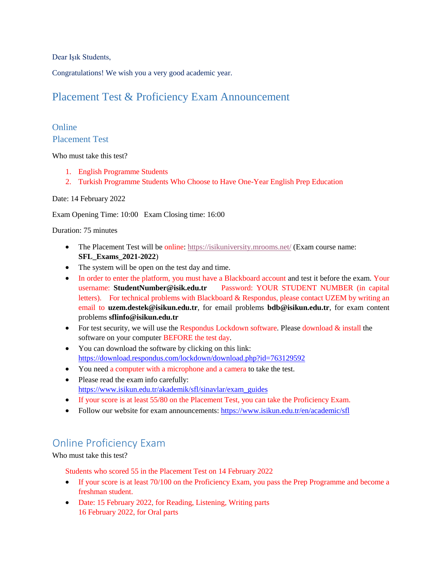Dear Işık Students,

Congratulations! We wish you a very good academic year.

## Placement Test & Proficiency Exam Announcement

### Online Placement Test

Who must take this test?

- 1. English Programme Students
- 2. Turkish Programme Students Who Choose to Have One-Year English Prep Education

#### Date: 14 February 2022

Exam Opening Time: 10:00 Exam Closing time: 16:00

Duration: 75 minutes

- The Placement Test will be online[: https://isikuniversity.mrooms.net/](https://isikuniversity.mrooms.net/) (Exam course name: **SFL\_Exams\_2021-2022**)
- The system will be open on the test day and time.
- In order to enter the platform, you must have a Blackboard account and test it before the exam. Your username: **StudentNumber@isik.edu.tr** Password: YOUR STUDENT NUMBER (in capital letters). For technical problems with Blackboard & Respondus, please contact UZEM by writing an email to **uzem.destek@isikun.edu.tr**, for email problems **bdb@isikun.edu.tr**, for exam content problems **sflinfo@isikun.edu.tr**
- For test security, we will use the Respondus Lockdown software. Please download  $\&$  install the software on your computer BEFORE the test day.
- You can download the software by clicking on this link: <https://download.respondus.com/lockdown/download.php?id=763129592>
- You need a computer with a microphone and a camera to take the test.
- Please read the exam info carefully: [https://www.isikun.edu.tr/akademik/sfl/sinavlar/exam\\_guides](https://www.isikun.edu.tr/akademik/sfl/sinavlar/exam_guides)
- If your score is at least 55/80 on the Placement Test, you can take the Proficiency Exam.
- Follow our website for exam announcements:<https://www.isikun.edu.tr/en/academic/sfl>

# Online Proficiency Exam

Who must take this test?

Students who scored 55 in the Placement Test on 14 February 2022

- If your score is at least 70/100 on the Proficiency Exam, you pass the Prep Programme and become a freshman student.
- Date: 15 February 2022, for Reading, Listening, Writing parts 16 February 2022, for Oral parts